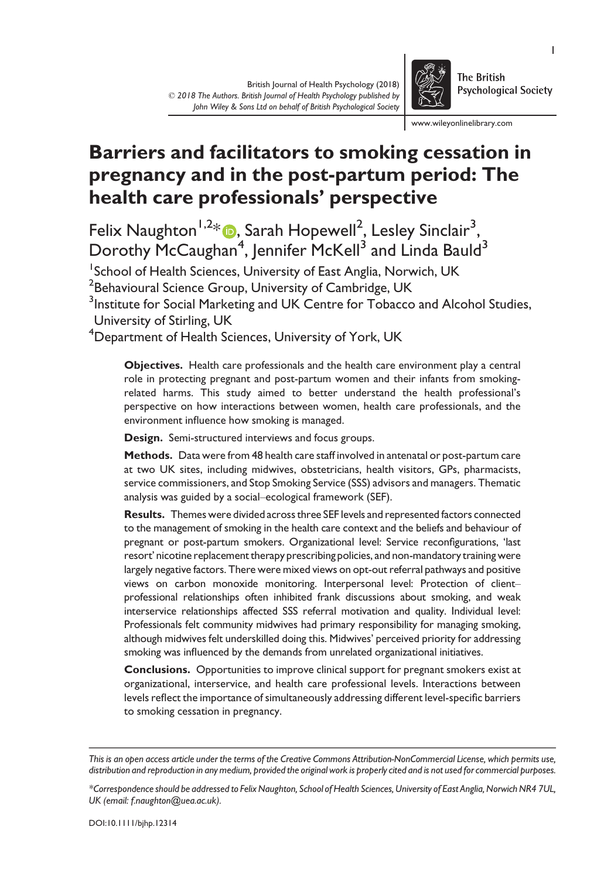

www.wileyonlinelibrary.com

# Barriers and facilitators to smoking cessation in pregnancy and in the post-partum period: The health care professionals' perspective

Felix Naughton $^{1,2}$ \* (, Sarah Hopewell $^2$ , Lesley Sinclair $^3,$ Dorothy  $\mathsf{McC}{\mathsf{aughan}}^4$ , Jennifer  $\mathsf{McKell}^3$  and Linda Bauld $^3$ 

<sup>1</sup>School of Health Sciences, University of East Anglia, Norwich, UK

 $^2$ Behavioural Science Group, University of Cambridge, UK

 $^3$ Institute for Social Marketing and UK Centre for Tobacco and Alcohol Studies, University of Stirling, UK

 $^4$ Department of Health Sciences, University of York, UK

Objectives. Health care professionals and the health care environment play a central role in protecting pregnant and post-partum women and their infants from smokingrelated harms. This study aimed to better understand the health professional's perspective on how interactions between women, health care professionals, and the environment influence how smoking is managed.

Design. Semi-structured interviews and focus groups.

Methods. Data were from 48 health care staff involved in antenatal or post-partum care at two UK sites, including midwives, obstetricians, health visitors, GPs, pharmacists, service commissioners, and Stop Smoking Service (SSS) advisors and managers. Thematic analysis was guided by a social–ecological framework (SEF).

Results. Themes were divided across three SEF levels and represented factors connected to the management of smoking in the health care context and the beliefs and behaviour of pregnant or post-partum smokers. Organizational level: Service reconfigurations, 'last resort' nicotine replacement therapy prescribing policies, and non-mandatory training were largely negative factors. There were mixed views on opt-out referral pathways and positive views on carbon monoxide monitoring. Interpersonal level: Protection of client– professional relationships often inhibited frank discussions about smoking, and weak interservice relationships affected SSS referral motivation and quality. Individual level: Professionals felt community midwives had primary responsibility for managing smoking, although midwives felt underskilled doing this. Midwives' perceived priority for addressing smoking was influenced by the demands from unrelated organizational initiatives.

Conclusions. Opportunities to improve clinical support for pregnant smokers exist at organizational, interservice, and health care professional levels. Interactions between levels reflect the importance of simultaneously addressing different level-specific barriers to smoking cessation in pregnancy.

This is an open access article under the terms of the [Creative Commons Attribution-NonCommercial](http://creativecommons.org/licenses/by-nc/4.0/) License, which permits use, distribution and reproduction in any medium, provided the original work is properly cited and is not used for commercial purposes.

<sup>\*</sup>Correspondence should be addressed to Felix Naughton, School of Health Sciences, University of East Anglia, Norwich NR4 7UL, UK (email: f.naughton@uea.ac.uk).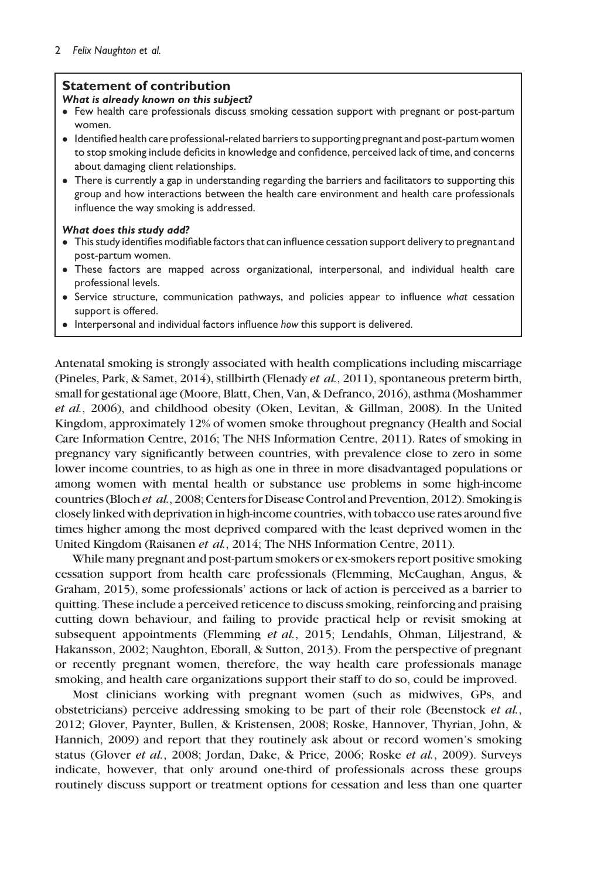## Statement of contribution

#### What is already known on this subject?

- Few health care professionals discuss smoking cessation support with pregnant or post-partum women.
- $\bullet$  Identified health care professional-related barriers to supporting pregnant and post-partum women to stop smoking include deficits in knowledge and confidence, perceived lack of time, and concerns about damaging client relationships.
- There is currently a gap in understanding regarding the barriers and facilitators to supporting this group and how interactions between the health care environment and health care professionals influence the way smoking is addressed.

## What does this study add?

- This study identifies modifiable factors that can influence cessation support delivery to pregnant and post-partum women.
- These factors are mapped across organizational, interpersonal, and individual health care professional levels.
- Service structure, communication pathways, and policies appear to influence what cessation support is offered.
- Interpersonal and individual factors influence how this support is delivered.

Antenatal smoking is strongly associated with health complications including miscarriage (Pineles, Park, & Samet, 2014), stillbirth (Flenady et al., 2011), spontaneous preterm birth, small for gestational age (Moore, Blatt, Chen, Van, & Defranco, 2016), asthma (Moshammer et al., 2006), and childhood obesity (Oken, Levitan, & Gillman, 2008). In the United Kingdom, approximately 12% of women smoke throughout pregnancy (Health and Social Care Information Centre, 2016; The NHS Information Centre, 2011). Rates of smoking in pregnancy vary significantly between countries, with prevalence close to zero in some lower income countries, to as high as one in three in more disadvantaged populations or among women with mental health or substance use problems in some high-income countries (Bloch et al., 2008; Centers for Disease Control and Prevention, 2012). Smoking is closely linked with deprivation in high-income countries, with tobacco use rates around five times higher among the most deprived compared with the least deprived women in the United Kingdom (Raisanen et al., 2014; The NHS Information Centre, 2011).

While many pregnant and post-partum smokers or ex-smokers report positive smoking cessation support from health care professionals (Flemming, McCaughan, Angus, & Graham, 2015), some professionals' actions or lack of action is perceived as a barrier to quitting. These include a perceived reticence to discuss smoking, reinforcing and praising cutting down behaviour, and failing to provide practical help or revisit smoking at subsequent appointments (Flemming et al., 2015; Lendahls, Ohman, Liljestrand, & Hakansson, 2002; Naughton, Eborall, & Sutton, 2013). From the perspective of pregnant or recently pregnant women, therefore, the way health care professionals manage smoking, and health care organizations support their staff to do so, could be improved.

Most clinicians working with pregnant women (such as midwives, GPs, and obstetricians) perceive addressing smoking to be part of their role (Beenstock et al., 2012; Glover, Paynter, Bullen, & Kristensen, 2008; Roske, Hannover, Thyrian, John, & Hannich, 2009) and report that they routinely ask about or record women's smoking status (Glover et al., 2008; Jordan, Dake, & Price, 2006; Roske et al., 2009). Surveys indicate, however, that only around one-third of professionals across these groups routinely discuss support or treatment options for cessation and less than one quarter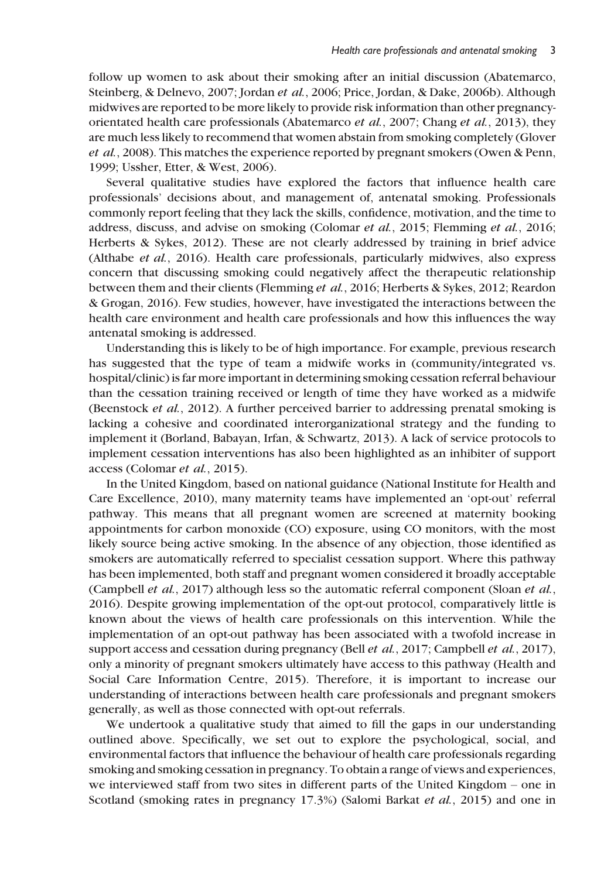follow up women to ask about their smoking after an initial discussion (Abatemarco, Steinberg, & Delnevo, 2007; Jordan et al., 2006; Price, Jordan, & Dake, 2006b). Although midwives are reported to be more likely to provide risk information than other pregnancyorientated health care professionals (Abatemarco et al., 2007; Chang et al., 2013), they are much less likely to recommend that women abstain from smoking completely (Glover et al., 2008). This matches the experience reported by pregnant smokers (Owen & Penn, 1999; Ussher, Etter, & West, 2006).

Several qualitative studies have explored the factors that influence health care professionals' decisions about, and management of, antenatal smoking. Professionals commonly report feeling that they lack the skills, confidence, motivation, and the time to address, discuss, and advise on smoking (Colomar et al., 2015; Flemming et al., 2016; Herberts & Sykes, 2012). These are not clearly addressed by training in brief advice (Althabe et al., 2016). Health care professionals, particularly midwives, also express concern that discussing smoking could negatively affect the therapeutic relationship between them and their clients (Flemming et al., 2016; Herberts & Sykes, 2012; Reardon & Grogan, 2016). Few studies, however, have investigated the interactions between the health care environment and health care professionals and how this influences the way antenatal smoking is addressed.

Understanding this is likely to be of high importance. For example, previous research has suggested that the type of team a midwife works in (community/integrated vs. hospital/clinic) is far more important in determining smoking cessation referral behaviour than the cessation training received or length of time they have worked as a midwife (Beenstock et al., 2012). A further perceived barrier to addressing prenatal smoking is lacking a cohesive and coordinated interorganizational strategy and the funding to implement it (Borland, Babayan, Irfan, & Schwartz, 2013). A lack of service protocols to implement cessation interventions has also been highlighted as an inhibiter of support access (Colomar et al., 2015).

In the United Kingdom, based on national guidance (National Institute for Health and Care Excellence, 2010), many maternity teams have implemented an 'opt-out' referral pathway. This means that all pregnant women are screened at maternity booking appointments for carbon monoxide (CO) exposure, using CO monitors, with the most likely source being active smoking. In the absence of any objection, those identified as smokers are automatically referred to specialist cessation support. Where this pathway has been implemented, both staff and pregnant women considered it broadly acceptable (Campbell et al., 2017) although less so the automatic referral component (Sloan et al., 2016). Despite growing implementation of the opt-out protocol, comparatively little is known about the views of health care professionals on this intervention. While the implementation of an opt-out pathway has been associated with a twofold increase in support access and cessation during pregnancy (Bell et al., 2017; Campbell et al., 2017), only a minority of pregnant smokers ultimately have access to this pathway (Health and Social Care Information Centre, 2015). Therefore, it is important to increase our understanding of interactions between health care professionals and pregnant smokers generally, as well as those connected with opt-out referrals.

We undertook a qualitative study that aimed to fill the gaps in our understanding outlined above. Specifically, we set out to explore the psychological, social, and environmental factors that influence the behaviour of health care professionals regarding smoking and smoking cessation in pregnancy. To obtain a range of views and experiences, we interviewed staff from two sites in different parts of the United Kingdom – one in Scotland (smoking rates in pregnancy 17.3%) (Salomi Barkat et al., 2015) and one in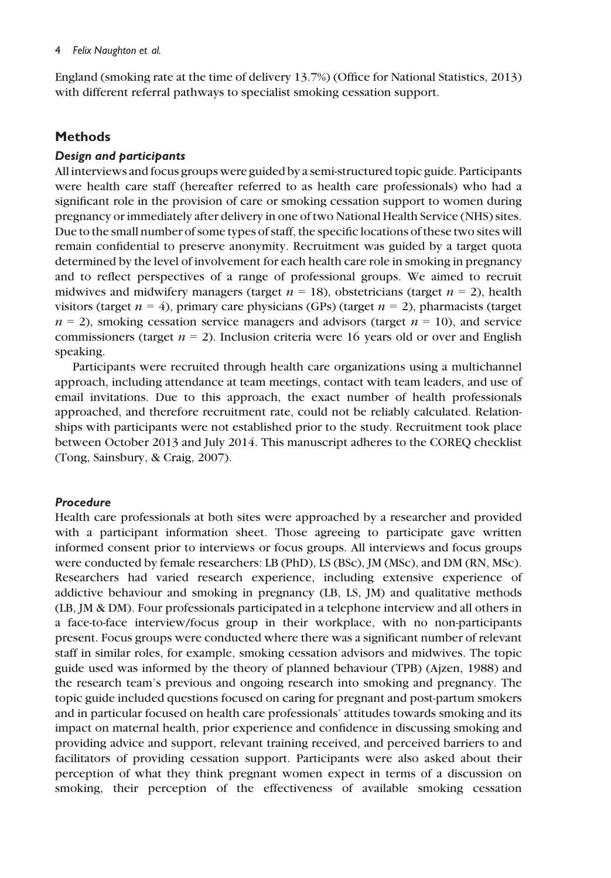England (smoking rate at the time of delivery 13.7%) (Office for National Statistics, 2013) with different referral pathways to specialist smoking cessation support.

# Methods

# Design and participants

All interviews and focus groups were guided by a semi-structured topic guide. Participants were health care staff (hereafter referred to as health care professionals) who had a significant role in the provision of care or smoking cessation support to women during pregnancy or immediately after delivery in one of two National Health Service (NHS) sites. Due to the small number of some types of staff, the specific locations of these two sites will remain confidential to preserve anonymity. Recruitment was guided by a target quota determined by the level of involvement for each health care role in smoking in pregnancy and to reflect perspectives of a range of professional groups. We aimed to recruit midwives and midwifery managers (target  $n = 18$ ), obstetricians (target  $n = 2$ ), health visitors (target  $n = 4$ ), primary care physicians (GPs) (target  $n = 2$ ), pharmacists (target  $n = 2$ ), smoking cessation service managers and advisors (target  $n = 10$ ), and service commissioners (target  $n = 2$ ). Inclusion criteria were 16 years old or over and English speaking.

Participants were recruited through health care organizations using a multichannel approach, including attendance at team meetings, contact with team leaders, and use of email invitations. Due to this approach, the exact number of health professionals approached, and therefore recruitment rate, could not be reliably calculated. Relationships with participants were not established prior to the study. Recruitment took place between October 2013 and July 2014. This manuscript adheres to the COREQ checklist (Tong, Sainsbury, & Craig, 2007).

# Procedure

Health care professionals at both sites were approached by a researcher and provided with a participant information sheet. Those agreeing to participate gave written informed consent prior to interviews or focus groups. All interviews and focus groups were conducted by female researchers: LB (PhD), LS (BSc), JM (MSc), and DM (RN, MSc). Researchers had varied research experience, including extensive experience of addictive behaviour and smoking in pregnancy (LB, LS, JM) and qualitative methods (LB, JM & DM). Four professionals participated in a telephone interview and all others in a face-to-face interview/focus group in their workplace, with no non-participants present. Focus groups were conducted where there was a significant number of relevant staff in similar roles, for example, smoking cessation advisors and midwives. The topic guide used was informed by the theory of planned behaviour (TPB) (Ajzen, 1988) and the research team's previous and ongoing research into smoking and pregnancy. The topic guide included questions focused on caring for pregnant and post-partum smokers and in particular focused on health care professionals' attitudes towards smoking and its impact on maternal health, prior experience and confidence in discussing smoking and providing advice and support, relevant training received, and perceived barriers to and facilitators of providing cessation support. Participants were also asked about their perception of what they think pregnant women expect in terms of a discussion on smoking, their perception of the effectiveness of available smoking cessation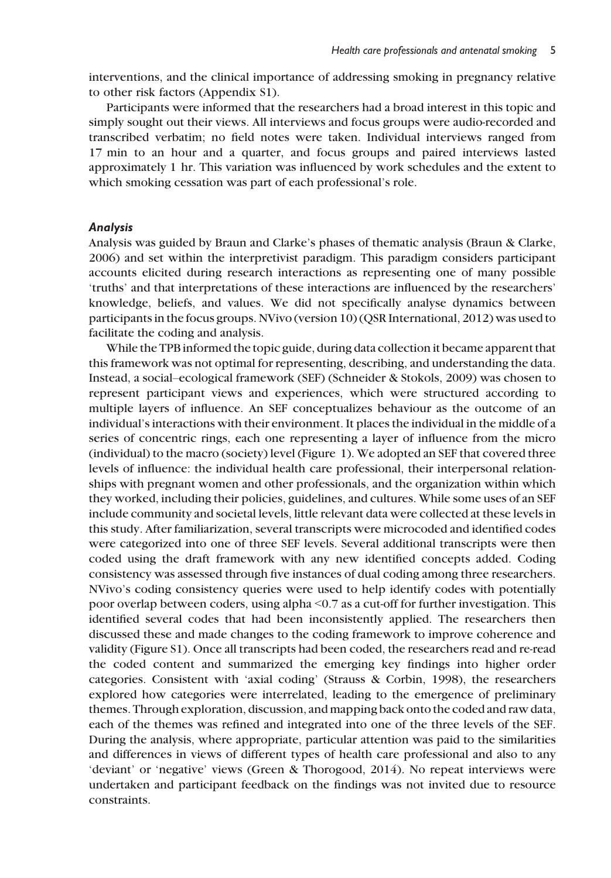interventions, and the clinical importance of addressing smoking in pregnancy relative to other risk factors (Appendix S1).

Participants were informed that the researchers had a broad interest in this topic and simply sought out their views. All interviews and focus groups were audio-recorded and transcribed verbatim; no field notes were taken. Individual interviews ranged from 17 min to an hour and a quarter, and focus groups and paired interviews lasted approximately 1 hr. This variation was influenced by work schedules and the extent to which smoking cessation was part of each professional's role.

#### Analysis

Analysis was guided by Braun and Clarke's phases of thematic analysis (Braun & Clarke, 2006) and set within the interpretivist paradigm. This paradigm considers participant accounts elicited during research interactions as representing one of many possible 'truths' and that interpretations of these interactions are influenced by the researchers' knowledge, beliefs, and values. We did not specifically analyse dynamics between participants in the focus groups. NVivo (version 10) (QSR International, 2012) was used to facilitate the coding and analysis.

While the TPB informed the topic guide, during data collection it became apparent that this framework was not optimal for representing, describing, and understanding the data. Instead, a social–ecological framework (SEF) (Schneider & Stokols, 2009) was chosen to represent participant views and experiences, which were structured according to multiple layers of influence. An SEF conceptualizes behaviour as the outcome of an individual's interactions with their environment. It places the individual in the middle of a series of concentric rings, each one representing a layer of influence from the micro (individual) to the macro (society) level (Figure 1). We adopted an SEF that covered three levels of influence: the individual health care professional, their interpersonal relationships with pregnant women and other professionals, and the organization within which they worked, including their policies, guidelines, and cultures. While some uses of an SEF include community and societal levels, little relevant data were collected at these levels in this study. After familiarization, several transcripts were microcoded and identified codes were categorized into one of three SEF levels. Several additional transcripts were then coded using the draft framework with any new identified concepts added. Coding consistency was assessed through five instances of dual coding among three researchers. NVivo's coding consistency queries were used to help identify codes with potentially poor overlap between coders, using alpha <0.7 as a cut-off for further investigation. This identified several codes that had been inconsistently applied. The researchers then discussed these and made changes to the coding framework to improve coherence and validity (Figure S1). Once all transcripts had been coded, the researchers read and re-read the coded content and summarized the emerging key findings into higher order categories. Consistent with 'axial coding' (Strauss & Corbin, 1998), the researchers explored how categories were interrelated, leading to the emergence of preliminary themes. Through exploration, discussion, and mapping back onto the coded and raw data, each of the themes was refined and integrated into one of the three levels of the SEF. During the analysis, where appropriate, particular attention was paid to the similarities and differences in views of different types of health care professional and also to any 'deviant' or 'negative' views (Green & Thorogood, 2014). No repeat interviews were undertaken and participant feedback on the findings was not invited due to resource constraints.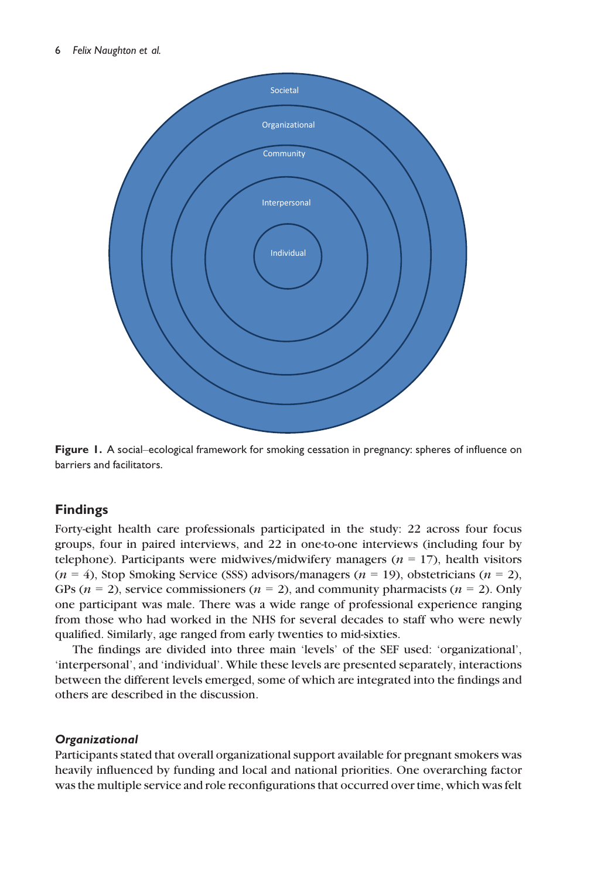

Figure 1. A social–ecological framework for smoking cessation in pregnancy: spheres of influence on barriers and facilitators.

## Findings

Forty-eight health care professionals participated in the study: 22 across four focus groups, four in paired interviews, and 22 in one-to-one interviews (including four by telephone). Participants were midwives/midwifery managers ( $n = 17$ ), health visitors  $(n = 4)$ , Stop Smoking Service (SSS) advisors/managers  $(n = 19)$ , obstetricians  $(n = 2)$ , GPs ( $n = 2$ ), service commissioners ( $n = 2$ ), and community pharmacists ( $n = 2$ ). Only one participant was male. There was a wide range of professional experience ranging from those who had worked in the NHS for several decades to staff who were newly qualified. Similarly, age ranged from early twenties to mid-sixties.

The findings are divided into three main 'levels' of the SEF used: 'organizational', 'interpersonal', and 'individual'. While these levels are presented separately, interactions between the different levels emerged, some of which are integrated into the findings and others are described in the discussion.

## **Organizational**

Participants stated that overall organizational support available for pregnant smokers was heavily influenced by funding and local and national priorities. One overarching factor was the multiple service and role reconfigurations that occurred over time, which was felt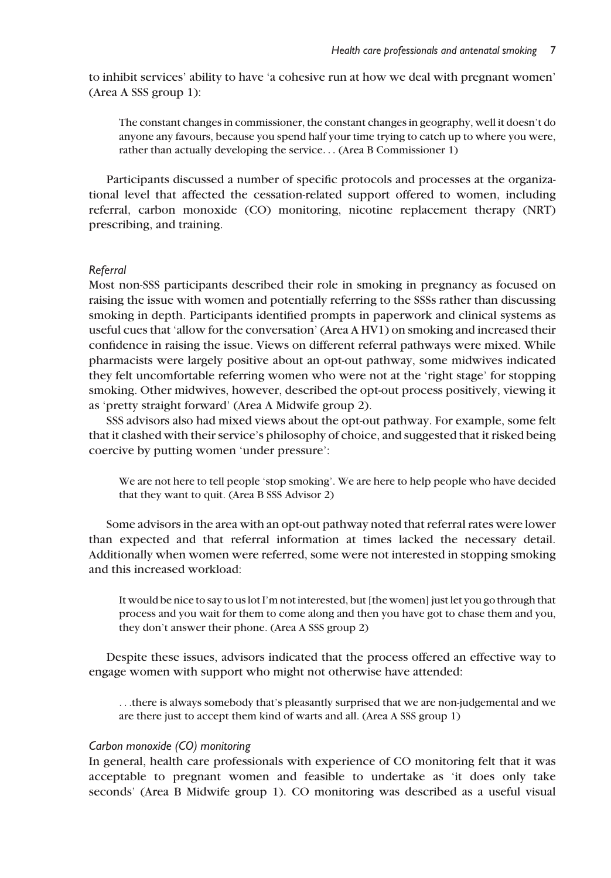to inhibit services' ability to have 'a cohesive run at how we deal with pregnant women' (Area A SSS group 1):

The constant changes in commissioner, the constant changes in geography, well it doesn't do anyone any favours, because you spend half your time trying to catch up to where you were, rather than actually developing the service... (Area B Commissioner 1)

Participants discussed a number of specific protocols and processes at the organizational level that affected the cessation-related support offered to women, including referral, carbon monoxide (CO) monitoring, nicotine replacement therapy (NRT) prescribing, and training.

#### Referral

Most non-SSS participants described their role in smoking in pregnancy as focused on raising the issue with women and potentially referring to the SSSs rather than discussing smoking in depth. Participants identified prompts in paperwork and clinical systems as useful cues that 'allow for the conversation' (Area A HV1) on smoking and increased their confidence in raising the issue. Views on different referral pathways were mixed. While pharmacists were largely positive about an opt-out pathway, some midwives indicated they felt uncomfortable referring women who were not at the 'right stage' for stopping smoking. Other midwives, however, described the opt-out process positively, viewing it as 'pretty straight forward' (Area A Midwife group 2).

SSS advisors also had mixed views about the opt-out pathway. For example, some felt that it clashed with their service's philosophy of choice, and suggested that it risked being coercive by putting women 'under pressure':

We are not here to tell people 'stop smoking'. We are here to help people who have decided that they want to quit. (Area B SSS Advisor 2)

Some advisors in the area with an opt-out pathway noted that referral rates were lower than expected and that referral information at times lacked the necessary detail. Additionally when women were referred, some were not interested in stopping smoking and this increased workload:

It would be nice to say to us lot I'm not interested, but [the women] just let you go through that process and you wait for them to come along and then you have got to chase them and you, they don't answer their phone. (Area A SSS group 2)

Despite these issues, advisors indicated that the process offered an effective way to engage women with support who might not otherwise have attended:

...there is always somebody that's pleasantly surprised that we are non-judgemental and we are there just to accept them kind of warts and all. (Area A SSS group 1)

#### Carbon monoxide (CO) monitoring

In general, health care professionals with experience of CO monitoring felt that it was acceptable to pregnant women and feasible to undertake as 'it does only take seconds' (Area B Midwife group 1). CO monitoring was described as a useful visual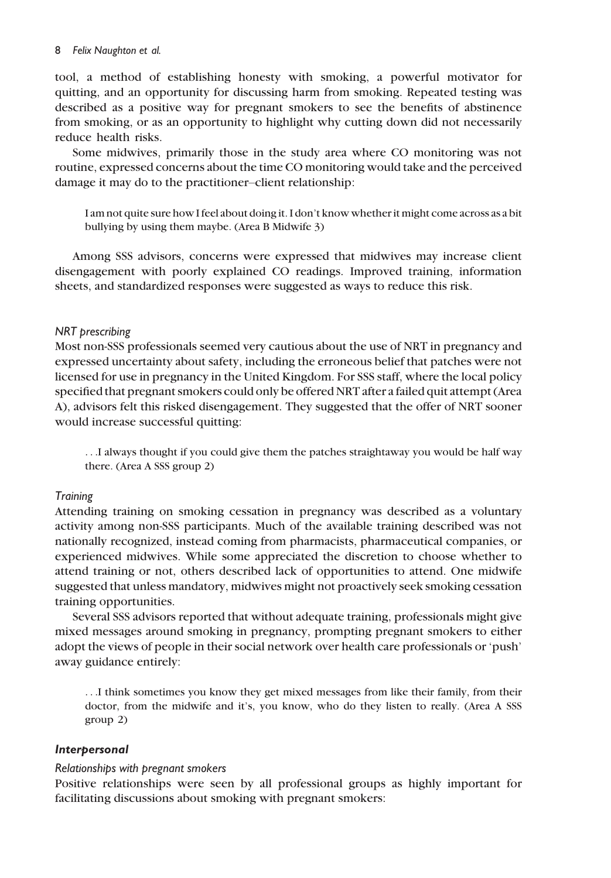#### 8 Felix Naughton et al.

tool, a method of establishing honesty with smoking, a powerful motivator for quitting, and an opportunity for discussing harm from smoking. Repeated testing was described as a positive way for pregnant smokers to see the benefits of abstinence from smoking, or as an opportunity to highlight why cutting down did not necessarily reduce health risks.

Some midwives, primarily those in the study area where CO monitoring was not routine, expressed concerns about the time CO monitoring would take and the perceived damage it may do to the practitioner–client relationship:

I am not quite sure how I feel about doing it. I don't know whether it might come across as a bit bullying by using them maybe. (Area B Midwife 3)

Among SSS advisors, concerns were expressed that midwives may increase client disengagement with poorly explained CO readings. Improved training, information sheets, and standardized responses were suggested as ways to reduce this risk.

## NRT prescribing

Most non-SSS professionals seemed very cautious about the use of NRT in pregnancy and expressed uncertainty about safety, including the erroneous belief that patches were not licensed for use in pregnancy in the United Kingdom. For SSS staff, where the local policy specified that pregnant smokers could only be offered NRT after a failed quit attempt (Area A), advisors felt this risked disengagement. They suggested that the offer of NRT sooner would increase successful quitting:

...I always thought if you could give them the patches straightaway you would be half way there. (Area A SSS group 2)

#### **Training**

Attending training on smoking cessation in pregnancy was described as a voluntary activity among non-SSS participants. Much of the available training described was not nationally recognized, instead coming from pharmacists, pharmaceutical companies, or experienced midwives. While some appreciated the discretion to choose whether to attend training or not, others described lack of opportunities to attend. One midwife suggested that unless mandatory, midwives might not proactively seek smoking cessation training opportunities.

Several SSS advisors reported that without adequate training, professionals might give mixed messages around smoking in pregnancy, prompting pregnant smokers to either adopt the views of people in their social network over health care professionals or 'push' away guidance entirely:

...I think sometimes you know they get mixed messages from like their family, from their doctor, from the midwife and it's, you know, who do they listen to really. (Area A SSS group 2)

## **Interbersonal**

#### Relationships with pregnant smokers

Positive relationships were seen by all professional groups as highly important for facilitating discussions about smoking with pregnant smokers: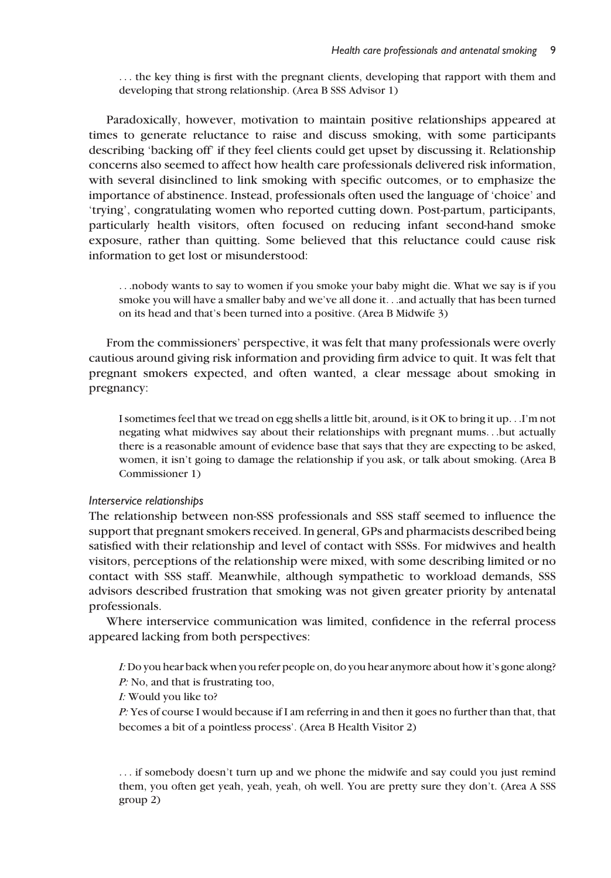... the key thing is first with the pregnant clients, developing that rapport with them and developing that strong relationship. (Area B SSS Advisor 1)

Paradoxically, however, motivation to maintain positive relationships appeared at times to generate reluctance to raise and discuss smoking, with some participants describing 'backing off' if they feel clients could get upset by discussing it. Relationship concerns also seemed to affect how health care professionals delivered risk information, with several disinclined to link smoking with specific outcomes, or to emphasize the importance of abstinence. Instead, professionals often used the language of 'choice' and 'trying', congratulating women who reported cutting down. Post-partum, participants, particularly health visitors, often focused on reducing infant second-hand smoke exposure, rather than quitting. Some believed that this reluctance could cause risk information to get lost or misunderstood:

...nobody wants to say to women if you smoke your baby might die. What we say is if you smoke you will have a smaller baby and we've all done it...and actually that has been turned on its head and that's been turned into a positive. (Area B Midwife 3)

From the commissioners' perspective, it was felt that many professionals were overly cautious around giving risk information and providing firm advice to quit. It was felt that pregnant smokers expected, and often wanted, a clear message about smoking in pregnancy:

I sometimes feel that we tread on egg shells a little bit, around, is it OK to bring it up...I'm not negating what midwives say about their relationships with pregnant mums...but actually there is a reasonable amount of evidence base that says that they are expecting to be asked, women, it isn't going to damage the relationship if you ask, or talk about smoking. (Area B Commissioner 1)

#### Interservice relationships

The relationship between non-SSS professionals and SSS staff seemed to influence the support that pregnant smokers received. In general, GPs and pharmacists described being satisfied with their relationship and level of contact with SSSs. For midwives and health visitors, perceptions of the relationship were mixed, with some describing limited or no contact with SSS staff. Meanwhile, although sympathetic to workload demands, SSS advisors described frustration that smoking was not given greater priority by antenatal professionals.

Where interservice communication was limited, confidence in the referral process appeared lacking from both perspectives:

I: Do you hear back when you refer people on, do you hear anymore about how it's gone along? P: No, and that is frustrating too,

I: Would you like to?

P: Yes of course I would because if I am referring in and then it goes no further than that, that becomes a bit of a pointless process'. (Area B Health Visitor 2)

... if somebody doesn't turn up and we phone the midwife and say could you just remind them, you often get yeah, yeah, yeah, oh well. You are pretty sure they don't. (Area A SSS group 2)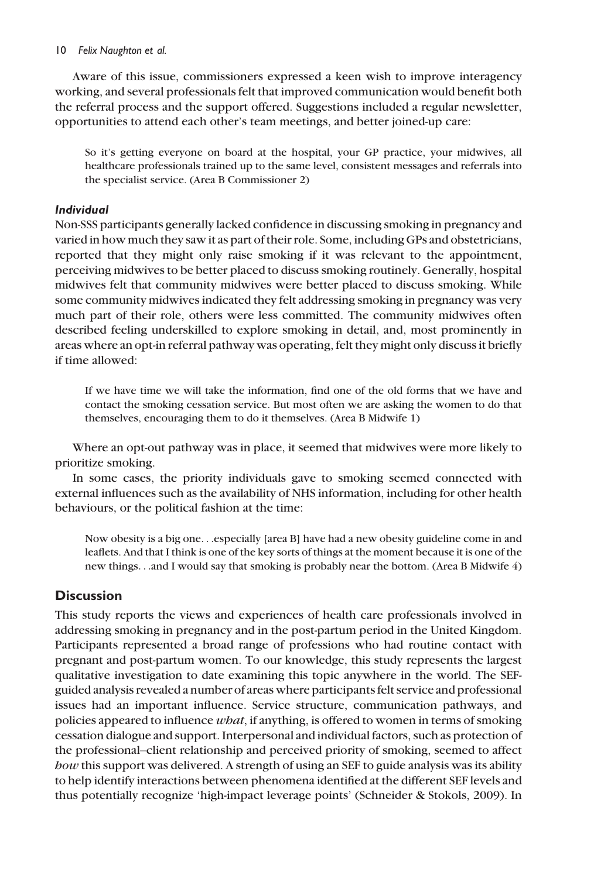#### 10 Felix Naughton et al.

Aware of this issue, commissioners expressed a keen wish to improve interagency working, and several professionals felt that improved communication would benefit both the referral process and the support offered. Suggestions included a regular newsletter, opportunities to attend each other's team meetings, and better joined-up care:

So it's getting everyone on board at the hospital, your GP practice, your midwives, all healthcare professionals trained up to the same level, consistent messages and referrals into the specialist service. (Area B Commissioner 2)

## Individual

Non-SSS participants generally lacked confidence in discussing smoking in pregnancy and varied in how much they saw it as part of their role. Some, including GPs and obstetricians, reported that they might only raise smoking if it was relevant to the appointment, perceiving midwives to be better placed to discuss smoking routinely. Generally, hospital midwives felt that community midwives were better placed to discuss smoking. While some community midwives indicated they felt addressing smoking in pregnancy was very much part of their role, others were less committed. The community midwives often described feeling underskilled to explore smoking in detail, and, most prominently in areas where an opt-in referral pathway was operating, felt they might only discuss it briefly if time allowed:

If we have time we will take the information, find one of the old forms that we have and contact the smoking cessation service. But most often we are asking the women to do that themselves, encouraging them to do it themselves. (Area B Midwife 1)

Where an opt-out pathway was in place, it seemed that midwives were more likely to prioritize smoking.

In some cases, the priority individuals gave to smoking seemed connected with external influences such as the availability of NHS information, including for other health behaviours, or the political fashion at the time:

Now obesity is a big one...especially [area B] have had a new obesity guideline come in and leaflets. And that I think is one of the key sorts of things at the moment because it is one of the new things...and I would say that smoking is probably near the bottom. (Area B Midwife 4)

# **Discussion**

This study reports the views and experiences of health care professionals involved in addressing smoking in pregnancy and in the post-partum period in the United Kingdom. Participants represented a broad range of professions who had routine contact with pregnant and post-partum women. To our knowledge, this study represents the largest qualitative investigation to date examining this topic anywhere in the world. The SEFguided analysis revealed a number of areas where participants felt service and professional issues had an important influence. Service structure, communication pathways, and policies appeared to influence *what*, if anything, is offered to women in terms of smoking cessation dialogue and support. Interpersonal and individual factors, such as protection of the professional–client relationship and perceived priority of smoking, seemed to affect how this support was delivered. A strength of using an SEF to guide analysis was its ability to help identify interactions between phenomena identified at the different SEF levels and thus potentially recognize 'high-impact leverage points' (Schneider & Stokols, 2009). In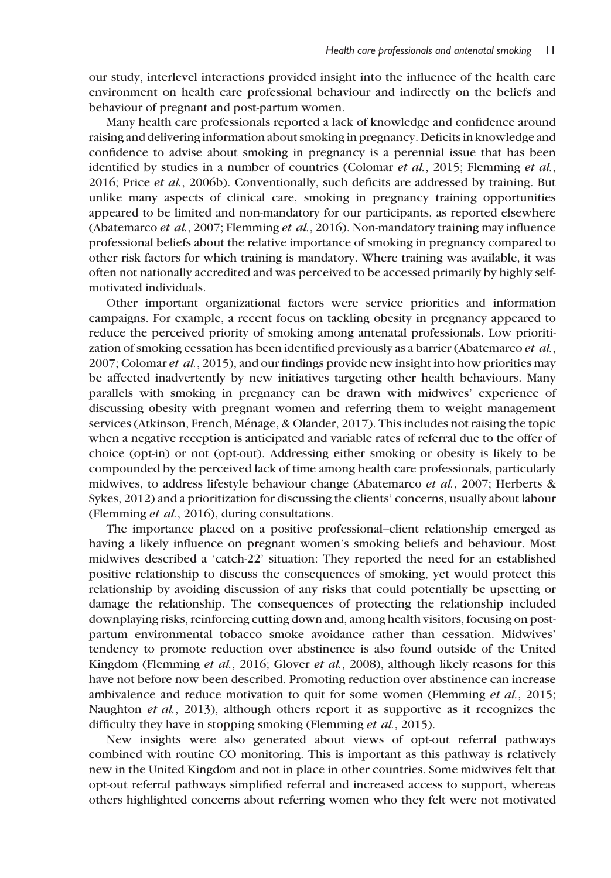our study, interlevel interactions provided insight into the influence of the health care environment on health care professional behaviour and indirectly on the beliefs and behaviour of pregnant and post-partum women.

Many health care professionals reported a lack of knowledge and confidence around raising and delivering information about smoking in pregnancy. Deficits in knowledge and confidence to advise about smoking in pregnancy is a perennial issue that has been identified by studies in a number of countries (Colomar et al., 2015; Flemming et al., 2016; Price et al., 2006b). Conventionally, such deficits are addressed by training. But unlike many aspects of clinical care, smoking in pregnancy training opportunities appeared to be limited and non-mandatory for our participants, as reported elsewhere (Abatemarco et al., 2007; Flemming et al., 2016). Non-mandatory training may influence professional beliefs about the relative importance of smoking in pregnancy compared to other risk factors for which training is mandatory. Where training was available, it was often not nationally accredited and was perceived to be accessed primarily by highly selfmotivated individuals.

Other important organizational factors were service priorities and information campaigns. For example, a recent focus on tackling obesity in pregnancy appeared to reduce the perceived priority of smoking among antenatal professionals. Low prioritization of smoking cessation has been identified previously as a barrier (Abatemarco et al., 2007; Colomar et al., 2015), and our findings provide new insight into how priorities may be affected inadvertently by new initiatives targeting other health behaviours. Many parallels with smoking in pregnancy can be drawn with midwives' experience of discussing obesity with pregnant women and referring them to weight management services (Atkinson, French, Ménage, & Olander, 2017). This includes not raising the topic when a negative reception is anticipated and variable rates of referral due to the offer of choice (opt-in) or not (opt-out). Addressing either smoking or obesity is likely to be compounded by the perceived lack of time among health care professionals, particularly midwives, to address lifestyle behaviour change (Abatemarco et al., 2007; Herberts & Sykes, 2012) and a prioritization for discussing the clients' concerns, usually about labour (Flemming et al., 2016), during consultations.

The importance placed on a positive professional–client relationship emerged as having a likely influence on pregnant women's smoking beliefs and behaviour. Most midwives described a 'catch-22' situation: They reported the need for an established positive relationship to discuss the consequences of smoking, yet would protect this relationship by avoiding discussion of any risks that could potentially be upsetting or damage the relationship. The consequences of protecting the relationship included downplaying risks, reinforcing cutting down and, among health visitors, focusing on postpartum environmental tobacco smoke avoidance rather than cessation. Midwives' tendency to promote reduction over abstinence is also found outside of the United Kingdom (Flemming *et al.*, 2016; Glover *et al.*, 2008), although likely reasons for this have not before now been described. Promoting reduction over abstinence can increase ambivalence and reduce motivation to quit for some women (Flemming et al., 2015; Naughton *et al.*, 2013), although others report it as supportive as it recognizes the difficulty they have in stopping smoking (Flemming *et al.*, 2015).

New insights were also generated about views of opt-out referral pathways combined with routine CO monitoring. This is important as this pathway is relatively new in the United Kingdom and not in place in other countries. Some midwives felt that opt-out referral pathways simplified referral and increased access to support, whereas others highlighted concerns about referring women who they felt were not motivated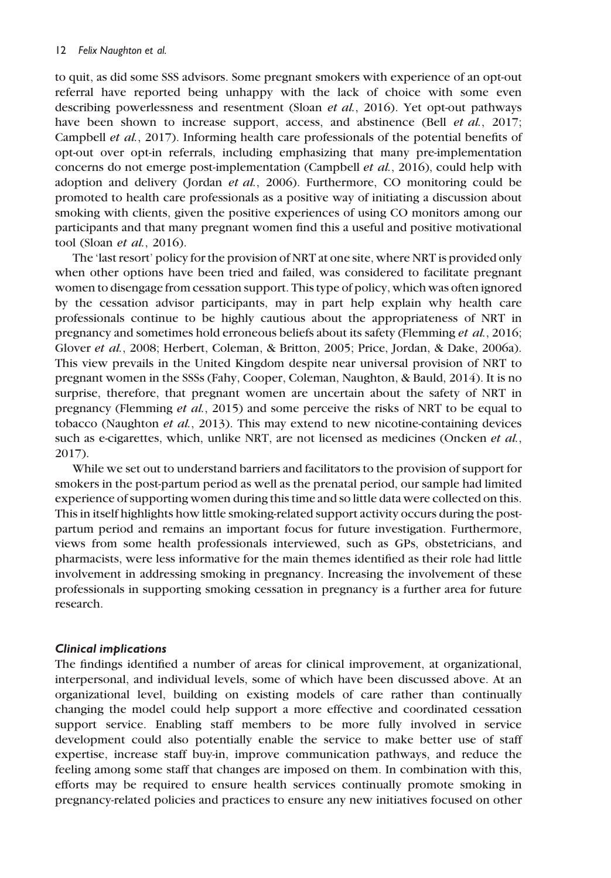to quit, as did some SSS advisors. Some pregnant smokers with experience of an opt-out referral have reported being unhappy with the lack of choice with some even describing powerlessness and resentment (Sloan et al., 2016). Yet opt-out pathways have been shown to increase support, access, and abstinence (Bell et al., 2017; Campbell et al., 2017). Informing health care professionals of the potential benefits of opt-out over opt-in referrals, including emphasizing that many pre-implementation concerns do not emerge post-implementation (Campbell et al., 2016), could help with adoption and delivery (Jordan et al., 2006). Furthermore, CO monitoring could be promoted to health care professionals as a positive way of initiating a discussion about smoking with clients, given the positive experiences of using CO monitors among our participants and that many pregnant women find this a useful and positive motivational tool (Sloan et al., 2016).

The 'last resort' policy for the provision of NRT at one site, where NRT is provided only when other options have been tried and failed, was considered to facilitate pregnant women to disengage from cessation support. This type of policy, which was often ignored by the cessation advisor participants, may in part help explain why health care professionals continue to be highly cautious about the appropriateness of NRT in pregnancy and sometimes hold erroneous beliefs about its safety (Flemming et al., 2016; Glover et al., 2008; Herbert, Coleman, & Britton, 2005; Price, Jordan, & Dake, 2006a). This view prevails in the United Kingdom despite near universal provision of NRT to pregnant women in the SSSs (Fahy, Cooper, Coleman, Naughton, & Bauld, 2014). It is no surprise, therefore, that pregnant women are uncertain about the safety of NRT in pregnancy (Flemming et al., 2015) and some perceive the risks of NRT to be equal to tobacco (Naughton et al., 2013). This may extend to new nicotine-containing devices such as e-cigarettes, which, unlike NRT, are not licensed as medicines (Oncken *et al.*, 2017).

While we set out to understand barriers and facilitators to the provision of support for smokers in the post-partum period as well as the prenatal period, our sample had limited experience of supporting women during this time and so little data were collected on this. This in itself highlights how little smoking-related support activity occurs during the postpartum period and remains an important focus for future investigation. Furthermore, views from some health professionals interviewed, such as GPs, obstetricians, and pharmacists, were less informative for the main themes identified as their role had little involvement in addressing smoking in pregnancy. Increasing the involvement of these professionals in supporting smoking cessation in pregnancy is a further area for future research.

## Clinical implications

The findings identified a number of areas for clinical improvement, at organizational, interpersonal, and individual levels, some of which have been discussed above. At an organizational level, building on existing models of care rather than continually changing the model could help support a more effective and coordinated cessation support service. Enabling staff members to be more fully involved in service development could also potentially enable the service to make better use of staff expertise, increase staff buy-in, improve communication pathways, and reduce the feeling among some staff that changes are imposed on them. In combination with this, efforts may be required to ensure health services continually promote smoking in pregnancy-related policies and practices to ensure any new initiatives focused on other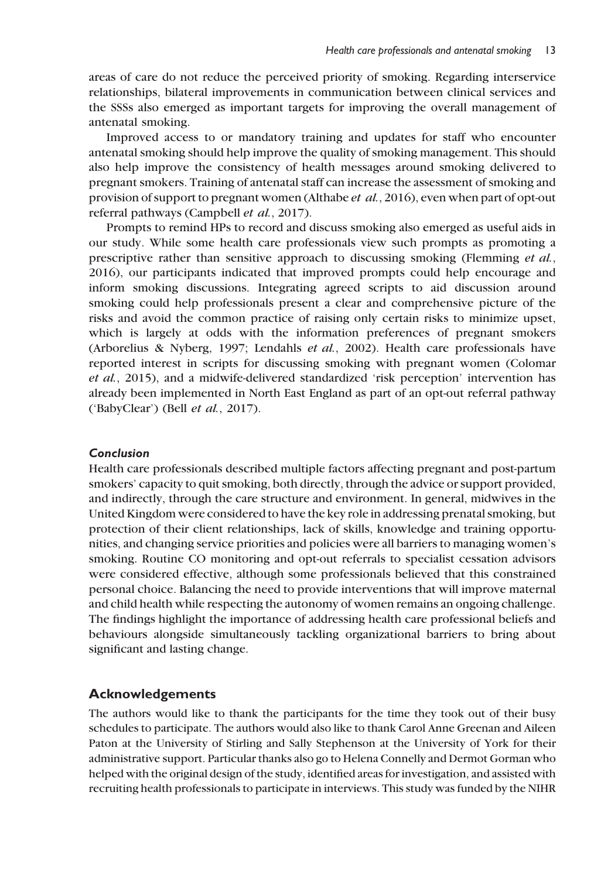areas of care do not reduce the perceived priority of smoking. Regarding interservice relationships, bilateral improvements in communication between clinical services and the SSSs also emerged as important targets for improving the overall management of antenatal smoking.

Improved access to or mandatory training and updates for staff who encounter antenatal smoking should help improve the quality of smoking management. This should also help improve the consistency of health messages around smoking delivered to pregnant smokers. Training of antenatal staff can increase the assessment of smoking and provision of support to pregnant women (Althabe et al., 2016), even when part of opt-out referral pathways (Campbell et al., 2017).

Prompts to remind HPs to record and discuss smoking also emerged as useful aids in our study. While some health care professionals view such prompts as promoting a prescriptive rather than sensitive approach to discussing smoking (Flemming et al., 2016), our participants indicated that improved prompts could help encourage and inform smoking discussions. Integrating agreed scripts to aid discussion around smoking could help professionals present a clear and comprehensive picture of the risks and avoid the common practice of raising only certain risks to minimize upset, which is largely at odds with the information preferences of pregnant smokers (Arborelius & Nyberg, 1997; Lendahls et al., 2002). Health care professionals have reported interest in scripts for discussing smoking with pregnant women (Colomar et al., 2015), and a midwife-delivered standardized 'risk perception' intervention has already been implemented in North East England as part of an opt-out referral pathway ('BabyClear') (Bell et al., 2017).

#### Conclusion

Health care professionals described multiple factors affecting pregnant and post-partum smokers' capacity to quit smoking, both directly, through the advice or support provided, and indirectly, through the care structure and environment. In general, midwives in the United Kingdom were considered to have the key role in addressing prenatal smoking, but protection of their client relationships, lack of skills, knowledge and training opportunities, and changing service priorities and policies were all barriers to managing women's smoking. Routine CO monitoring and opt-out referrals to specialist cessation advisors were considered effective, although some professionals believed that this constrained personal choice. Balancing the need to provide interventions that will improve maternal and child health while respecting the autonomy of women remains an ongoing challenge. The findings highlight the importance of addressing health care professional beliefs and behaviours alongside simultaneously tackling organizational barriers to bring about significant and lasting change.

# Acknowledgements

The authors would like to thank the participants for the time they took out of their busy schedules to participate. The authors would also like to thank Carol Anne Greenan and Aileen Paton at the University of Stirling and Sally Stephenson at the University of York for their administrative support. Particular thanks also go to Helena Connelly and Dermot Gorman who helped with the original design of the study, identified areas for investigation, and assisted with recruiting health professionals to participate in interviews. This study was funded by the NIHR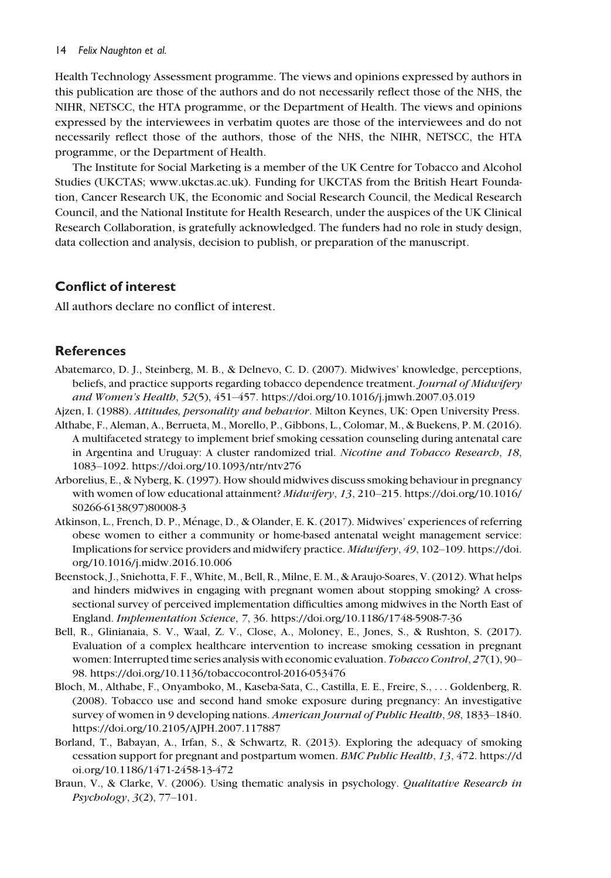Health Technology Assessment programme. The views and opinions expressed by authors in this publication are those of the authors and do not necessarily reflect those of the NHS, the NIHR, NETSCC, the HTA programme, or the Department of Health. The views and opinions expressed by the interviewees in verbatim quotes are those of the interviewees and do not necessarily reflect those of the authors, those of the NHS, the NIHR, NETSCC, the HTA programme, or the Department of Health.

The Institute for Social Marketing is a member of the UK Centre for Tobacco and Alcohol Studies (UKCTAS; [www.ukctas.ac.uk\)](http://www.ukctas.ac.uk). Funding for UKCTAS from the British Heart Foundation, Cancer Research UK, the Economic and Social Research Council, the Medical Research Council, and the National Institute for Health Research, under the auspices of the UK Clinical Research Collaboration, is gratefully acknowledged. The funders had no role in study design, data collection and analysis, decision to publish, or preparation of the manuscript.

# Conflict of interest

All authors declare no conflict of interest.

# **References**

- Abatemarco, D. J., Steinberg, M. B., & Delnevo, C. D. (2007). Midwives' knowledge, perceptions, beliefs, and practice supports regarding tobacco dependence treatment. Journal of Midwifery and Women's Health, 52(5), 451–457.<https://doi.org/10.1016/j.jmwh.2007.03.019>
- Aizen, I. (1988). *Attitudes, personality and behavior*. Milton Keynes, UK: Open University Press.
- Althabe, F., Aleman, A., Berrueta, M., Morello, P., Gibbons, L., Colomar, M., & Buekens, P. M. (2016). A multifaceted strategy to implement brief smoking cessation counseling during antenatal care in Argentina and Uruguay: A cluster randomized trial. Nicotine and Tobacco Research, 18, 1083–1092.<https://doi.org/10.1093/ntr/ntv276>
- Arborelius, E., & Nyberg, K. (1997). How should midwives discuss smoking behaviour in pregnancy with women of low educational attainment? Midwifery, 13, 210–215. [https://doi.org/10.1016/](https://doi.org/10.1016/S0266-6138(97)80008-3) [S0266-6138\(97\)80008-3](https://doi.org/10.1016/S0266-6138(97)80008-3)
- Atkinson, L., French, D. P., Ménage, D., & Olander, E. K. (2017). Midwives' experiences of referring obese women to either a community or home-based antenatal weight management service: Implications for service providers and midwifery practice. Midwifery, 49, 102–109. [https://doi.](https://doi.org/10.1016/j.midw.2016.10.006) [org/10.1016/j.midw.2016.10.006](https://doi.org/10.1016/j.midw.2016.10.006)
- Beenstock, J., Sniehotta, F. F., White, M., Bell, R., Milne, E. M., & Araujo-Soares, V. (2012). What helps and hinders midwives in engaging with pregnant women about stopping smoking? A crosssectional survey of perceived implementation difficulties among midwives in the North East of England. Implementation Science, 7, 36.<https://doi.org/10.1186/1748-5908-7-36>
- Bell, R., Glinianaia, S. V., Waal, Z. V., Close, A., Moloney, E., Jones, S., & Rushton, S. (2017). Evaluation of a complex healthcare intervention to increase smoking cessation in pregnant women: Interrupted time series analysis with economic evaluation. Tobacco Control, 27(1), 90– 98.<https://doi.org/10.1136/tobaccocontrol-2016-053476>
- Bloch, M., Althabe, F., Onyamboko, M., Kaseba-Sata, C., Castilla, E. E., Freire, S., ... Goldenberg, R. (2008). Tobacco use and second hand smoke exposure during pregnancy: An investigative survey of women in 9 developing nations. American Journal of Public Health, 98, 1833-1840. <https://doi.org/10.2105/AJPH.2007.117887>
- Borland, T., Babayan, A., Irfan, S., & Schwartz, R. (2013). Exploring the adequacy of smoking cessation support for pregnant and postpartum women. BMC Public Health, 13, 472. [https://d](https://doi.org/10.1186/1471-2458-13-472) [oi.org/10.1186/1471-2458-13-472](https://doi.org/10.1186/1471-2458-13-472)
- Braun, V., & Clarke, V. (2006). Using thematic analysis in psychology. Qualitative Research in Psychology, 3(2), 77–101.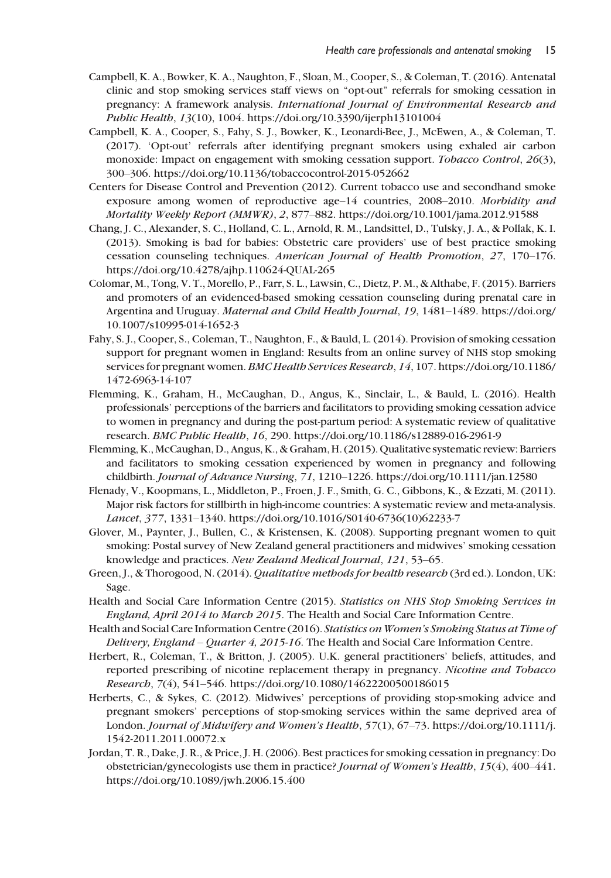- Campbell, K. A., Bowker, K. A., Naughton, F., Sloan, M., Cooper, S., & Coleman, T. (2016). Antenatal clinic and stop smoking services staff views on "opt-out" referrals for smoking cessation in pregnancy: A framework analysis. International Journal of Environmental Research and Public Health, 13(10), 1004.<https://doi.org/10.3390/ijerph13101004>
- Campbell, K. A., Cooper, S., Fahy, S. J., Bowker, K., Leonardi-Bee, J., McEwen, A., & Coleman, T. (2017). 'Opt-out' referrals after identifying pregnant smokers using exhaled air carbon monoxide: Impact on engagement with smoking cessation support. Tobacco Control, 26(3), 300–306.<https://doi.org/10.1136/tobaccocontrol-2015-052662>
- Centers for Disease Control and Prevention (2012). Current tobacco use and secondhand smoke exposure among women of reproductive age–14 countries, 2008–2010. Morbidity and Mortality Weekly Report (MMWR), 2, 877–882.<https://doi.org/10.1001/jama.2012.91588>
- Chang, J. C., Alexander, S. C., Holland, C. L., Arnold, R. M., Landsittel, D., Tulsky, J. A., & Pollak, K. I. (2013). Smoking is bad for babies: Obstetric care providers' use of best practice smoking cessation counseling techniques. American Journal of Health Promotion, 27, 170–176. <https://doi.org/10.4278/ajhp.110624-QUAL-265>
- Colomar, M., Tong, V. T., Morello, P., Farr, S. L., Lawsin, C., Dietz, P. M., & Althabe, F. (2015). Barriers and promoters of an evidenced-based smoking cessation counseling during prenatal care in Argentina and Uruguay. Maternal and Child Health Journal, 19, 1481–1489. [https://doi.org/](https://doi.org/10.1007/s10995-014-1652-3) [10.1007/s10995-014-1652-3](https://doi.org/10.1007/s10995-014-1652-3)
- Fahy, S. J., Cooper, S., Coleman, T., Naughton, F., & Bauld, L. (2014). Provision of smoking cessation support for pregnant women in England: Results from an online survey of NHS stop smoking services for pregnant women. BMC Health Services Research, 14, 107. [https://doi.org/10.1186/](https://doi.org/10.1186/1472-6963-14-107) [1472-6963-14-107](https://doi.org/10.1186/1472-6963-14-107)
- Flemming, K., Graham, H., McCaughan, D., Angus, K., Sinclair, L., & Bauld, L. (2016). Health professionals' perceptions of the barriers and facilitators to providing smoking cessation advice to women in pregnancy and during the post-partum period: A systematic review of qualitative research. BMC Public Health, 16, 290.<https://doi.org/10.1186/s12889-016-2961-9>
- Flemming, K., McCaughan, D., Angus, K., & Graham, H. (2015). Qualitative systematic review: Barriers and facilitators to smoking cessation experienced by women in pregnancy and following childbirth. Journal of Advance Nursing, 71, 1210–1226.<https://doi.org/10.1111/jan.12580>
- Flenady, V., Koopmans, L., Middleton, P., Froen, J. F., Smith, G. C., Gibbons, K., & Ezzati, M. (2011). Major risk factors for stillbirth in high-income countries: A systematic review and meta-analysis. Lancet, 377, 1331–1340. [https://doi.org/10.1016/S0140-6736\(10\)62233-7](https://doi.org/10.1016/S0140-6736(10)62233-7)
- Glover, M., Paynter, J., Bullen, C., & Kristensen, K. (2008). Supporting pregnant women to quit smoking: Postal survey of New Zealand general practitioners and midwives' smoking cessation knowledge and practices. New Zealand Medical Journal, 121, 53–65.
- Green, J., & Thorogood, N. (2014). Qualitative methods for health research (3rd ed.). London, UK: Sage.
- Health and Social Care Information Centre (2015). Statistics on NHS Stop Smoking Services in England, April 2014 to March 2015. The Health and Social Care Information Centre.
- Health and Social Care Information Centre (2016). Statistics on Women's Smoking Status at Time of Delivery, England – Quarter 4, 2015-16. The Health and Social Care Information Centre.
- Herbert, R., Coleman, T., & Britton, J. (2005). U.K. general practitioners' beliefs, attitudes, and reported prescribing of nicotine replacement therapy in pregnancy. Nicotine and Tobacco Research, 7(4), 541–546.<https://doi.org/10.1080/14622200500186015>
- Herberts, C., & Sykes, C. (2012). Midwives' perceptions of providing stop-smoking advice and pregnant smokers' perceptions of stop-smoking services within the same deprived area of London. Journal of Midwifery and Women's Health, 57(1), 67–73. [https://doi.org/10.1111/j.](https://doi.org/10.1111/j.1542-2011.2011.00072.x) [1542-2011.2011.00072.x](https://doi.org/10.1111/j.1542-2011.2011.00072.x)
- Jordan, T. R., Dake, J. R., & Price, J. H. (2006). Best practices for smoking cessation in pregnancy: Do obstetrician/gynecologists use them in practice? Journal of Women's Health, 15(4), 400–441. <https://doi.org/10.1089/jwh.2006.15.400>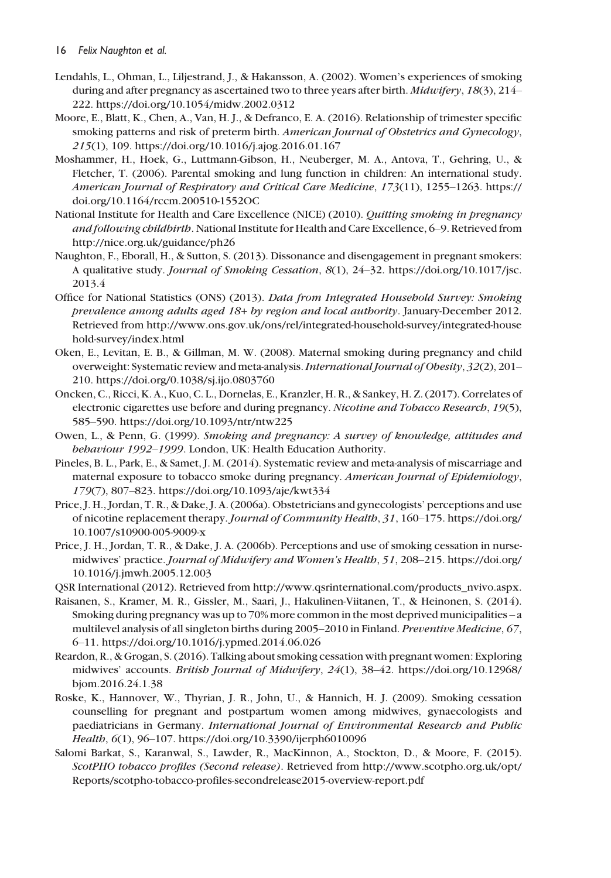- Lendahls, L., Ohman, L., Liljestrand, J., & Hakansson, A. (2002). Women's experiences of smoking during and after pregnancy as ascertained two to three years after birth. *Midwifery*, 18(3), 214– 222.<https://doi.org/10.1054/midw.2002.0312>
- Moore, E., Blatt, K., Chen, A., Van, H. J., & Defranco, E. A. (2016). Relationship of trimester specific smoking patterns and risk of preterm birth. American Journal of Obstetrics and Gynecology, 215(1), 109.<https://doi.org/10.1016/j.ajog.2016.01.167>
- Moshammer, H., Hoek, G., Luttmann-Gibson, H., Neuberger, M. A., Antova, T., Gehring, U., & Fletcher, T. (2006). Parental smoking and lung function in children: An international study. American Journal of Respiratory and Critical Care Medicine, 173(11), 1255–1263. [https://](https://doi.org/10.1164/rccm.200510-1552OC) [doi.org/10.1164/rccm.200510-1552OC](https://doi.org/10.1164/rccm.200510-1552OC)
- National Institute for Health and Care Excellence (NICE) (2010). Quitting smoking in pregnancy and following childbirth. National Institute for Health and Care Excellence, 6–9. Retrieved from <http://nice.org.uk/guidance/ph26>
- Naughton, F., Eborall, H., & Sutton, S. (2013). Dissonance and disengagement in pregnant smokers: A qualitative study. Journal of Smoking Cessation, 8(1), 24–32. [https://doi.org/10.1017/jsc.](https://doi.org/10.1017/jsc.2013.4) [2013.4](https://doi.org/10.1017/jsc.2013.4)
- Office for National Statistics (ONS) (2013). Data from Integrated Household Survey: Smoking prevalence among adults aged 18+ by region and local authority. January-December 2012. Retrieved from [http://www.ons.gov.uk/ons/rel/integrated-household-survey/integrated-house](http://www.ons.gov.uk/ons/rel/integrated-household-survey/integrated-household-survey/index.html) [hold-survey/index.html](http://www.ons.gov.uk/ons/rel/integrated-household-survey/integrated-household-survey/index.html)
- Oken, E., Levitan, E. B., & Gillman, M. W. (2008). Maternal smoking during pregnancy and child overweight: Systematic review and meta-analysis. International Journal of Obesity, 32(2), 201– 210.<https://doi.org/0.1038/sj.ijo.0803760>
- Oncken, C., Ricci, K. A., Kuo, C. L., Dornelas, E., Kranzler, H. R., & Sankey, H. Z. (2017). Correlates of electronic cigarettes use before and during pregnancy. Nicotine and Tobacco Research, 19(5), 585–590.<https://doi.org/10.1093/ntr/ntw225>
- Owen, L., & Penn, G. (1999). Smoking and pregnancy: A survey of knowledge, attitudes and behaviour 1992–1999. London, UK: Health Education Authority.
- Pineles, B. L., Park, E., & Samet, J. M. (2014). Systematic review and meta-analysis of miscarriage and maternal exposure to tobacco smoke during pregnancy. American Journal of Epidemiology, 179(7), 807–823.<https://doi.org/10.1093/aje/kwt334>
- Price, J. H., Jordan, T. R., & Dake, J. A. (2006a). Obstetricians and gynecologists' perceptions and use of nicotine replacement therapy. Journal of Community Health, 31, 160–175. [https://doi.org/](https://doi.org/10.1007/s10900-005-9009-x) [10.1007/s10900-005-9009-x](https://doi.org/10.1007/s10900-005-9009-x)
- Price, J. H., Jordan, T. R., & Dake, J. A. (2006b). Perceptions and use of smoking cessation in nursemidwives' practice. Journal of Midwifery and Women's Health, 51, 208–215. [https://doi.org/](https://doi.org/10.1016/j.jmwh.2005.12.003) [10.1016/j.jmwh.2005.12.003](https://doi.org/10.1016/j.jmwh.2005.12.003)
- QSR International (2012). Retrieved from [http://www.qsrinternational.com/products\\_nvivo.aspx.](http://www.qsrinternational.com/products_nvivo.aspx)
- Raisanen, S., Kramer, M. R., Gissler, M., Saari, J., Hakulinen-Viitanen, T., & Heinonen, S. (2014). Smoking during pregnancy was up to 70% more common in the most deprived municipalities – a multilevel analysis of all singleton births during 2005–2010 in Finland. Preventive Medicine, 67, 6–11.<https://doi.org/10.1016/j.ypmed.2014.06.026>
- Reardon, R., & Grogan, S. (2016). Talking about smoking cessation with pregnant women: Exploring midwives' accounts. British Journal of Midwifery, 24(1), 38–42. [https://doi.org/10.12968/](https://doi.org/10.12968/bjom.2016.24.1.38) [bjom.2016.24.1.38](https://doi.org/10.12968/bjom.2016.24.1.38)
- Roske, K., Hannover, W., Thyrian, J. R., John, U., & Hannich, H. J. (2009). Smoking cessation counselling for pregnant and postpartum women among midwives, gynaecologists and paediatricians in Germany. International Journal of Environmental Research and Public Health, 6(1), 96–107.<https://doi.org/10.3390/ijerph6010096>
- Salomi Barkat, S., Karanwal, S., Lawder, R., MacKinnon, A., Stockton, D., & Moore, F. (2015). ScotPHO tobacco profiles (Second release). Retrieved from [http://www.scotpho.org.uk/opt/](http://www.scotpho.org.uk/opt/Reports/scotpho-tobacco-profiles-secondrelease2015-overview-report.pdf) [Reports/scotpho-tobacco-profiles-secondrelease2015-overview-report.pdf](http://www.scotpho.org.uk/opt/Reports/scotpho-tobacco-profiles-secondrelease2015-overview-report.pdf)